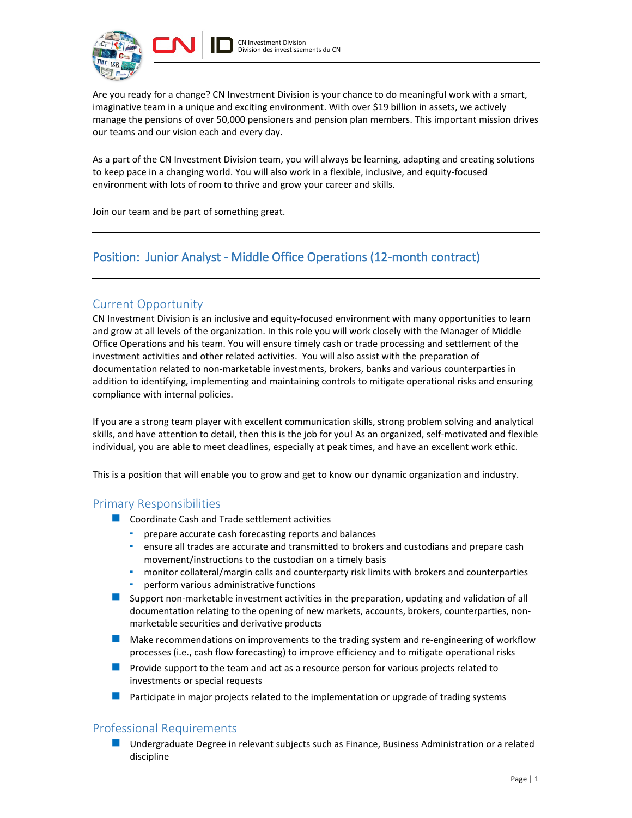



Are you ready for a change? CN Investment Division is your chance to do meaningful work with a smart, imaginative team in a unique and exciting environment. With over \$19 billion in assets, we actively manage the pensions of over 50,000 pensioners and pension plan members. This important mission drives our teams and our vision each and every day.

As a part of the CN Investment Division team, you will always be learning, adapting and creating solutions to keep pace in a changing world. You will also work in a flexible, inclusive, and equity-focused environment with lots of room to thrive and grow your career and skills.

Join our team and be part of something great.

# Position: Junior Analyst - Middle Office Operations (12-month contract)

# Current Opportunity

CN Investment Division is an inclusive and equity-focused environment with many opportunities to learn and grow at all levels of the organization. In this role you will work closely with the Manager of Middle Office Operations and his team. You will ensure timely cash or trade processing and settlement of the investment activities and other related activities. You will also assist with the preparation of documentation related to non-marketable investments, brokers, banks and various counterparties in addition to identifying, implementing and maintaining controls to mitigate operational risks and ensuring compliance with internal policies.

If you are a strong team player with excellent communication skills, strong problem solving and analytical skills, and have attention to detail, then this is the job for you! As an organized, self-motivated and flexible individual, you are able to meet deadlines, especially at peak times, and have an excellent work ethic.

This is a position that will enable you to grow and get to know our dynamic organization and industry.

#### Primary Responsibilities

- **Coordinate Cash and Trade settlement activities** 
	- prepare accurate cash forecasting reports and balances
	- ensure all trades are accurate and transmitted to brokers and custodians and prepare cash movement/instructions to the custodian on a timely basis
	- monitor collateral/margin calls and counterparty risk limits with brokers and counterparties
	- perform various administrative functions
- Support non-marketable investment activities in the preparation, updating and validation of all documentation relating to the opening of new markets, accounts, brokers, counterparties, nonmarketable securities and derivative products
- **Make recommendations on improvements to the trading system and re-engineering of workflow** processes (i.e., cash flow forecasting) to improve efficiency and to mitigate operational risks
- **Provide support to the team and act as a resource person for various projects related to** investments or special requests
- **Participate in major projects related to the implementation or upgrade of trading systems**

## Professional Requirements

**Undergraduate Degree in relevant subjects such as Finance, Business Administration or a related** discipline